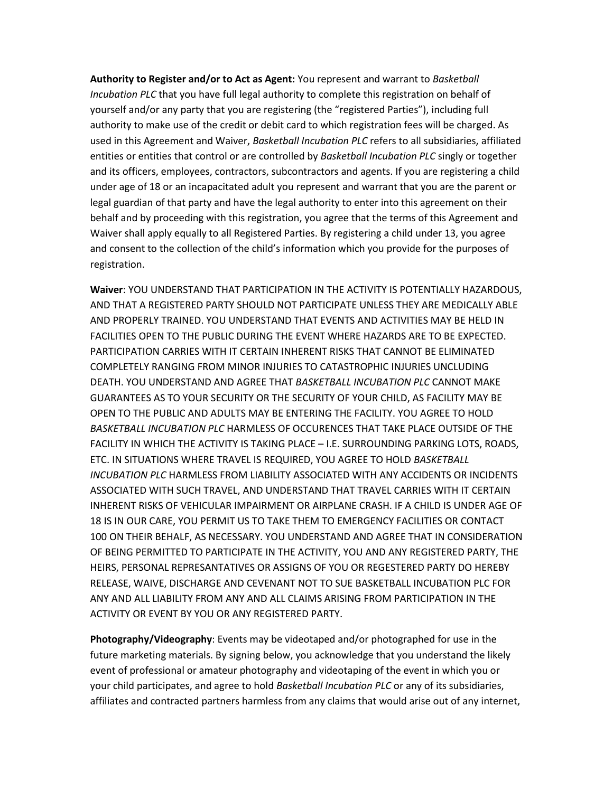**Authority to Register and/or to Act as Agent:** You represent and warrant to *Basketball Incubation PLC* that you have full legal authority to complete this registration on behalf of yourself and/or any party that you are registering (the "registered Parties"), including full authority to make use of the credit or debit card to which registration fees will be charged. As used in this Agreement and Waiver, *Basketball Incubation PLC* refers to all subsidiaries, affiliated entities or entities that control or are controlled by *Basketball Incubation PLC* singly or together and its officers, employees, contractors, subcontractors and agents. If you are registering a child under age of 18 or an incapacitated adult you represent and warrant that you are the parent or legal guardian of that party and have the legal authority to enter into this agreement on their behalf and by proceeding with this registration, you agree that the terms of this Agreement and Waiver shall apply equally to all Registered Parties. By registering a child under 13, you agree and consent to the collection of the child's information which you provide for the purposes of registration.

**Waiver**: YOU UNDERSTAND THAT PARTICIPATION IN THE ACTIVITY IS POTENTIALLY HAZARDOUS, AND THAT A REGISTERED PARTY SHOULD NOT PARTICIPATE UNLESS THEY ARE MEDICALLY ABLE AND PROPERLY TRAINED. YOU UNDERSTAND THAT EVENTS AND ACTIVITIES MAY BE HELD IN FACILITIES OPEN TO THE PUBLIC DURING THE EVENT WHERE HAZARDS ARE TO BE EXPECTED. PARTICIPATION CARRIES WITH IT CERTAIN INHERENT RISKS THAT CANNOT BE ELIMINATED COMPLETELY RANGING FROM MINOR INJURIES TO CATASTROPHIC INJURIES UNCLUDING DEATH. YOU UNDERSTAND AND AGREE THAT *BASKETBALL INCUBATION PLC* CANNOT MAKE GUARANTEES AS TO YOUR SECURITY OR THE SECURITY OF YOUR CHILD, AS FACILITY MAY BE OPEN TO THE PUBLIC AND ADULTS MAY BE ENTERING THE FACILITY. YOU AGREE TO HOLD *BASKETBALL INCUBATION PLC* HARMLESS OF OCCURENCES THAT TAKE PLACE OUTSIDE OF THE FACILITY IN WHICH THE ACTIVITY IS TAKING PLACE – I.E. SURROUNDING PARKING LOTS, ROADS, ETC. IN SITUATIONS WHERE TRAVEL IS REQUIRED, YOU AGREE TO HOLD *BASKETBALL INCUBATION PLC* HARMLESS FROM LIABILITY ASSOCIATED WITH ANY ACCIDENTS OR INCIDENTS ASSOCIATED WITH SUCH TRAVEL, AND UNDERSTAND THAT TRAVEL CARRIES WITH IT CERTAIN INHERENT RISKS OF VEHICULAR IMPAIRMENT OR AIRPLANE CRASH. IF A CHILD IS UNDER AGE OF 18 IS IN OUR CARE, YOU PERMIT US TO TAKE THEM TO EMERGENCY FACILITIES OR CONTACT 100 ON THEIR BEHALF, AS NECESSARY. YOU UNDERSTAND AND AGREE THAT IN CONSIDERATION OF BEING PERMITTED TO PARTICIPATE IN THE ACTIVITY, YOU AND ANY REGISTERED PARTY, THE HEIRS, PERSONAL REPRESANTATIVES OR ASSIGNS OF YOU OR REGESTERED PARTY DO HEREBY RELEASE, WAIVE, DISCHARGE AND CEVENANT NOT TO SUE BASKETBALL INCUBATION PLC FOR ANY AND ALL LIABILITY FROM ANY AND ALL CLAIMS ARISING FROM PARTICIPATION IN THE ACTIVITY OR EVENT BY YOU OR ANY REGISTERED PARTY.

**Photography/Videography**: Events may be videotaped and/or photographed for use in the future marketing materials. By signing below, you acknowledge that you understand the likely event of professional or amateur photography and videotaping of the event in which you or your child participates, and agree to hold *Basketball Incubation PLC* or any of its subsidiaries, affiliates and contracted partners harmless from any claims that would arise out of any internet,